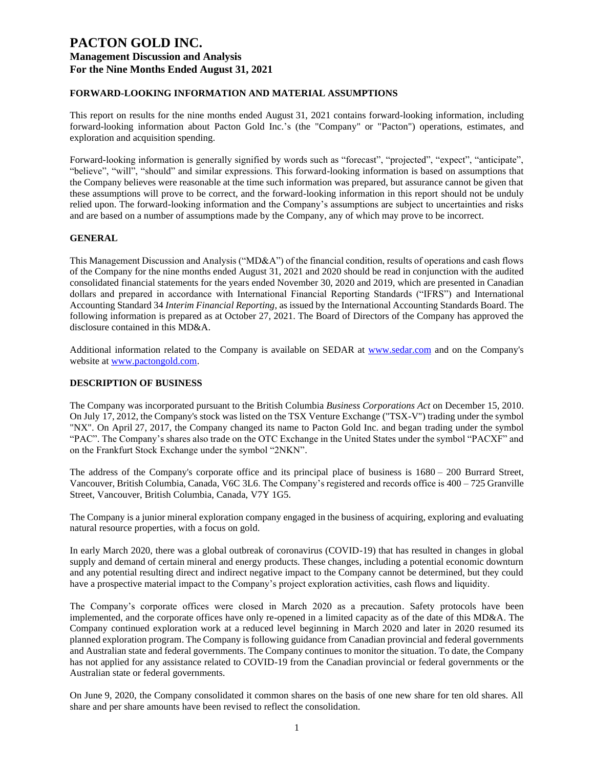## **FORWARD-LOOKING INFORMATION AND MATERIAL ASSUMPTIONS**

This report on results for the nine months ended August 31, 2021 contains forward-looking information, including forward-looking information about Pacton Gold Inc.'s (the "Company" or "Pacton") operations, estimates, and exploration and acquisition spending.

Forward-looking information is generally signified by words such as "forecast", "projected", "expect", "anticipate", "believe", "will", "should" and similar expressions. This forward-looking information is based on assumptions that the Company believes were reasonable at the time such information was prepared, but assurance cannot be given that these assumptions will prove to be correct, and the forward-looking information in this report should not be unduly relied upon. The forward-looking information and the Company's assumptions are subject to uncertainties and risks and are based on a number of assumptions made by the Company, any of which may prove to be incorrect.

#### **GENERAL**

This Management Discussion and Analysis ("MD&A") of the financial condition, results of operations and cash flows of the Company for the nine months ended August 31, 2021 and 2020 should be read in conjunction with the audited consolidated financial statements for the years ended November 30, 2020 and 2019, which are presented in Canadian dollars and prepared in accordance with International Financial Reporting Standards ("IFRS") and International Accounting Standard 34 *Interim Financial Reporting*, as issued by the International Accounting Standards Board. The following information is prepared as at October 27, 2021. The Board of Directors of the Company has approved the disclosure contained in this MD&A.

Additional information related to the Company is available on SEDAR at [www.sedar.com](http://www.sedar.com/) and on the Company's website at [www.pactongold.com.](http://www.pactongold.com/)

#### **DESCRIPTION OF BUSINESS**

The Company was incorporated pursuant to the British Columbia *Business Corporations Act* on December 15, 2010. On July 17, 2012, the Company's stock was listed on the TSX Venture Exchange ("TSX-V") trading under the symbol "NX". On April 27, 2017, the Company changed its name to Pacton Gold Inc. and began trading under the symbol "PAC". The Company's shares also trade on the OTC Exchange in the United States under the symbol "PACXF" and on the Frankfurt Stock Exchange under the symbol "2NKN".

The address of the Company's corporate office and its principal place of business is 1680 – 200 Burrard Street, Vancouver, British Columbia, Canada, V6C 3L6. The Company's registered and records office is 400 – 725 Granville Street, Vancouver, British Columbia, Canada, V7Y 1G5.

The Company is a junior mineral exploration company engaged in the business of acquiring, exploring and evaluating natural resource properties, with a focus on gold.

In early March 2020, there was a global outbreak of coronavirus (COVID-19) that has resulted in changes in global supply and demand of certain mineral and energy products. These changes, including a potential economic downturn and any potential resulting direct and indirect negative impact to the Company cannot be determined, but they could have a prospective material impact to the Company's project exploration activities, cash flows and liquidity.

The Company's corporate offices were closed in March 2020 as a precaution. Safety protocols have been implemented, and the corporate offices have only re-opened in a limited capacity as of the date of this MD&A. The Company continued exploration work at a reduced level beginning in March 2020 and later in 2020 resumed its planned exploration program. The Company is following guidance from Canadian provincial and federal governments and Australian state and federal governments. The Company continues to monitor the situation. To date, the Company has not applied for any assistance related to COVID-19 from the Canadian provincial or federal governments or the Australian state or federal governments.

On June 9, 2020, the Company consolidated it common shares on the basis of one new share for ten old shares. All share and per share amounts have been revised to reflect the consolidation.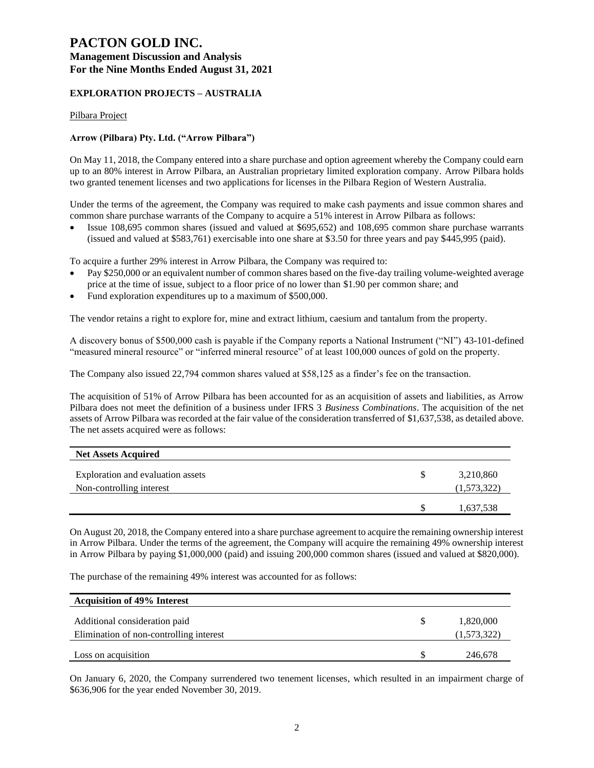## **EXPLORATION PROJECTS – AUSTRALIA**

Pilbara Project

## **Arrow (Pilbara) Pty. Ltd. ("Arrow Pilbara")**

On May 11, 2018, the Company entered into a share purchase and option agreement whereby the Company could earn up to an 80% interest in Arrow Pilbara, an Australian proprietary limited exploration company. Arrow Pilbara holds two granted tenement licenses and two applications for licenses in the Pilbara Region of Western Australia.

Under the terms of the agreement, the Company was required to make cash payments and issue common shares and common share purchase warrants of the Company to acquire a 51% interest in Arrow Pilbara as follows:

• Issue 108,695 common shares (issued and valued at \$695,652) and 108,695 common share purchase warrants (issued and valued at \$583,761) exercisable into one share at \$3.50 for three years and pay \$445,995 (paid).

To acquire a further 29% interest in Arrow Pilbara, the Company was required to:

- Pay \$250,000 or an equivalent number of common shares based on the five-day trailing volume-weighted average price at the time of issue, subject to a floor price of no lower than \$1.90 per common share; and
- Fund exploration expenditures up to a maximum of \$500,000.

The vendor retains a right to explore for, mine and extract lithium, caesium and tantalum from the property.

A discovery bonus of \$500,000 cash is payable if the Company reports a National Instrument ("NI") 43-101-defined "measured mineral resource" or "inferred mineral resource" of at least 100,000 ounces of gold on the property.

The Company also issued 22,794 common shares valued at \$58,125 as a finder's fee on the transaction.

The acquisition of 51% of Arrow Pilbara has been accounted for as an acquisition of assets and liabilities, as Arrow Pilbara does not meet the definition of a business under IFRS 3 *Business Combinations*. The acquisition of the net assets of Arrow Pilbara was recorded at the fair value of the consideration transferred of \$1,637,538, as detailed above. The net assets acquired were as follows:

| <b>Net Assets Acquired</b>                                    |   |                          |
|---------------------------------------------------------------|---|--------------------------|
| Exploration and evaluation assets<br>Non-controlling interest | S | 3,210,860<br>(1,573,322) |
|                                                               |   | 1,637,538                |

On August 20, 2018, the Company entered into a share purchase agreement to acquire the remaining ownership interest in Arrow Pilbara. Under the terms of the agreement, the Company will acquire the remaining 49% ownership interest in Arrow Pilbara by paying \$1,000,000 (paid) and issuing 200,000 common shares (issued and valued at \$820,000).

The purchase of the remaining 49% interest was accounted for as follows:

| <b>Acquisition of 49% Interest</b>      |             |
|-----------------------------------------|-------------|
| Additional consideration paid           | 1,820,000   |
| Elimination of non-controlling interest | (1,573,322) |
| Loss on acquisition                     | 246,678     |

On January 6, 2020, the Company surrendered two tenement licenses, which resulted in an impairment charge of \$636,906 for the year ended November 30, 2019.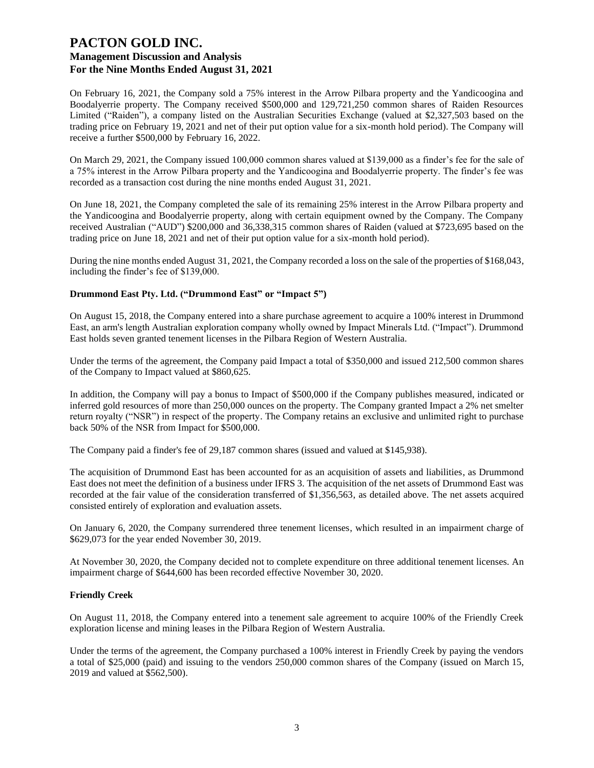On February 16, 2021, the Company sold a 75% interest in the Arrow Pilbara property and the Yandicoogina and Boodalyerrie property. The Company received \$500,000 and 129,721,250 common shares of Raiden Resources Limited ("Raiden"), a company listed on the Australian Securities Exchange (valued at \$2,327,503 based on the trading price on February 19, 2021 and net of their put option value for a six-month hold period). The Company will receive a further \$500,000 by February 16, 2022.

On March 29, 2021, the Company issued 100,000 common shares valued at \$139,000 as a finder's fee for the sale of a 75% interest in the Arrow Pilbara property and the Yandicoogina and Boodalyerrie property. The finder's fee was recorded as a transaction cost during the nine months ended August 31, 2021.

On June 18, 2021, the Company completed the sale of its remaining 25% interest in the Arrow Pilbara property and the Yandicoogina and Boodalyerrie property, along with certain equipment owned by the Company. The Company received Australian ("AUD") \$200,000 and 36,338,315 common shares of Raiden (valued at \$723,695 based on the trading price on June 18, 2021 and net of their put option value for a six-month hold period).

During the nine months ended August 31, 2021, the Company recorded a loss on the sale of the properties of \$168,043, including the finder's fee of \$139,000.

#### **Drummond East Pty. Ltd. ("Drummond East" or "Impact 5")**

On August 15, 2018, the Company entered into a share purchase agreement to acquire a 100% interest in Drummond East, an arm's length Australian exploration company wholly owned by Impact Minerals Ltd. ("Impact"). Drummond East holds seven granted tenement licenses in the Pilbara Region of Western Australia.

Under the terms of the agreement, the Company paid Impact a total of \$350,000 and issued 212,500 common shares of the Company to Impact valued at \$860,625.

In addition, the Company will pay a bonus to Impact of \$500,000 if the Company publishes measured, indicated or inferred gold resources of more than 250,000 ounces on the property. The Company granted Impact a 2% net smelter return royalty ("NSR") in respect of the property. The Company retains an exclusive and unlimited right to purchase back 50% of the NSR from Impact for \$500,000.

The Company paid a finder's fee of 29,187 common shares (issued and valued at \$145,938).

The acquisition of Drummond East has been accounted for as an acquisition of assets and liabilities, as Drummond East does not meet the definition of a business under IFRS 3. The acquisition of the net assets of Drummond East was recorded at the fair value of the consideration transferred of \$1,356,563, as detailed above. The net assets acquired consisted entirely of exploration and evaluation assets.

On January 6, 2020, the Company surrendered three tenement licenses, which resulted in an impairment charge of \$629,073 for the year ended November 30, 2019.

At November 30, 2020, the Company decided not to complete expenditure on three additional tenement licenses. An impairment charge of \$644,600 has been recorded effective November 30, 2020.

#### **Friendly Creek**

On August 11, 2018, the Company entered into a tenement sale agreement to acquire 100% of the Friendly Creek exploration license and mining leases in the Pilbara Region of Western Australia.

Under the terms of the agreement, the Company purchased a 100% interest in Friendly Creek by paying the vendors a total of \$25,000 (paid) and issuing to the vendors 250,000 common shares of the Company (issued on March 15, 2019 and valued at \$562,500).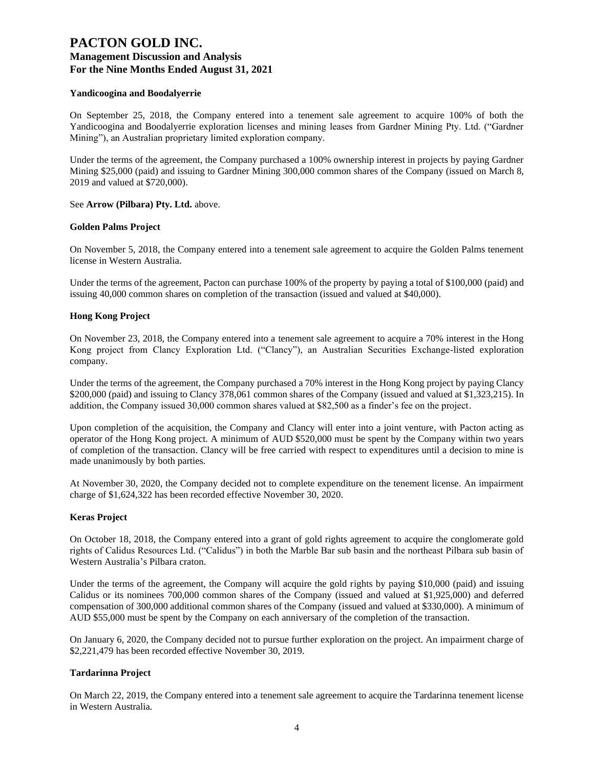#### **Yandicoogina and Boodalyerrie**

On September 25, 2018, the Company entered into a tenement sale agreement to acquire 100% of both the Yandicoogina and Boodalyerrie exploration licenses and mining leases from Gardner Mining Pty. Ltd. ("Gardner Mining"), an Australian proprietary limited exploration company.

Under the terms of the agreement, the Company purchased a 100% ownership interest in projects by paying Gardner Mining \$25,000 (paid) and issuing to Gardner Mining 300,000 common shares of the Company (issued on March 8, 2019 and valued at \$720,000).

#### See **Arrow (Pilbara) Pty. Ltd.** above.

#### **Golden Palms Project**

On November 5, 2018, the Company entered into a tenement sale agreement to acquire the Golden Palms tenement license in Western Australia.

Under the terms of the agreement, Pacton can purchase 100% of the property by paying a total of \$100,000 (paid) and issuing 40,000 common shares on completion of the transaction (issued and valued at \$40,000).

#### **Hong Kong Project**

On November 23, 2018, the Company entered into a tenement sale agreement to acquire a 70% interest in the Hong Kong project from Clancy Exploration Ltd. ("Clancy"), an Australian Securities Exchange-listed exploration company.

Under the terms of the agreement, the Company purchased a 70% interest in the Hong Kong project by paying Clancy \$200,000 (paid) and issuing to Clancy 378,061 common shares of the Company (issued and valued at \$1,323,215). In addition, the Company issued 30,000 common shares valued at \$82,500 as a finder's fee on the project.

Upon completion of the acquisition, the Company and Clancy will enter into a joint venture, with Pacton acting as operator of the Hong Kong project. A minimum of AUD \$520,000 must be spent by the Company within two years of completion of the transaction. Clancy will be free carried with respect to expenditures until a decision to mine is made unanimously by both parties.

At November 30, 2020, the Company decided not to complete expenditure on the tenement license. An impairment charge of \$1,624,322 has been recorded effective November 30, 2020.

#### **Keras Project**

On October 18, 2018, the Company entered into a grant of gold rights agreement to acquire the conglomerate gold rights of Calidus Resources Ltd. ("Calidus") in both the Marble Bar sub basin and the northeast Pilbara sub basin of Western Australia's Pilbara craton.

Under the terms of the agreement, the Company will acquire the gold rights by paying \$10,000 (paid) and issuing Calidus or its nominees 700,000 common shares of the Company (issued and valued at \$1,925,000) and deferred compensation of 300,000 additional common shares of the Company (issued and valued at \$330,000). A minimum of AUD \$55,000 must be spent by the Company on each anniversary of the completion of the transaction.

On January 6, 2020, the Company decided not to pursue further exploration on the project. An impairment charge of \$2,221,479 has been recorded effective November 30, 2019.

#### **Tardarinna Project**

On March 22, 2019, the Company entered into a tenement sale agreement to acquire the Tardarinna tenement license in Western Australia.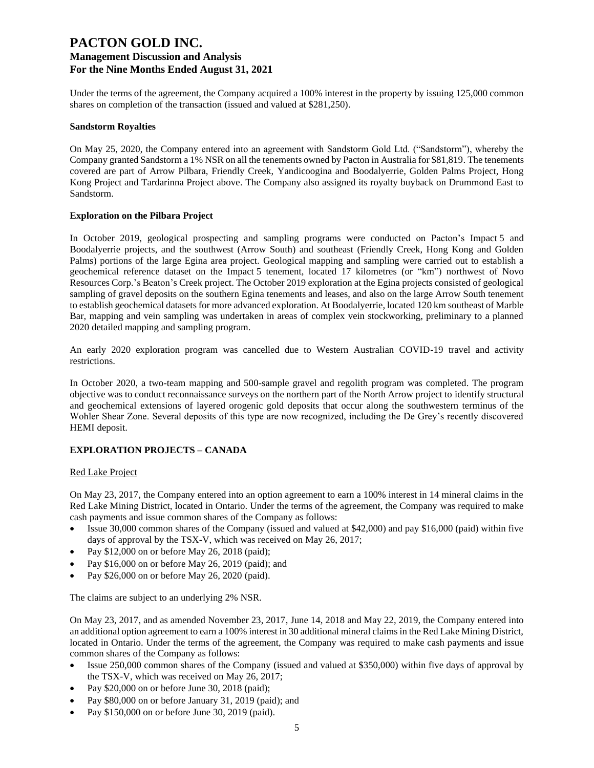Under the terms of the agreement, the Company acquired a 100% interest in the property by issuing 125,000 common shares on completion of the transaction (issued and valued at \$281,250).

#### **Sandstorm Royalties**

On May 25, 2020, the Company entered into an agreement with Sandstorm Gold Ltd. ("Sandstorm"), whereby the Company granted Sandstorm a 1% NSR on all the tenements owned by Pacton in Australia for \$81,819. The tenements covered are part of Arrow Pilbara, Friendly Creek, Yandicoogina and Boodalyerrie, Golden Palms Project, Hong Kong Project and Tardarinna Project above. The Company also assigned its royalty buyback on Drummond East to Sandstorm.

#### **Exploration on the Pilbara Project**

In October 2019, geological prospecting and sampling programs were conducted on Pacton's Impact 5 and Boodalyerrie projects, and the southwest (Arrow South) and southeast (Friendly Creek, Hong Kong and Golden Palms) portions of the large Egina area project. Geological mapping and sampling were carried out to establish a geochemical reference dataset on the Impact 5 tenement, located 17 kilometres (or "km") northwest of Novo Resources Corp.'s Beaton's Creek project. The October 2019 exploration at the Egina projects consisted of geological sampling of gravel deposits on the southern Egina tenements and leases, and also on the large Arrow South tenement to establish geochemical datasets for more advanced exploration. At Boodalyerrie, located 120 km southeast of Marble Bar, mapping and vein sampling was undertaken in areas of complex vein stockworking, preliminary to a planned 2020 detailed mapping and sampling program.

An early 2020 exploration program was cancelled due to Western Australian COVID-19 travel and activity restrictions.

In October 2020, a two-team mapping and 500-sample gravel and regolith program was completed. The program objective was to conduct reconnaissance surveys on the northern part of the North Arrow project to identify structural and geochemical extensions of layered orogenic gold deposits that occur along the southwestern terminus of the Wohler Shear Zone. Several deposits of this type are now recognized, including the De Grey's recently discovered HEMI deposit.

#### **EXPLORATION PROJECTS – CANADA**

#### Red Lake Project

On May 23, 2017, the Company entered into an option agreement to earn a 100% interest in 14 mineral claims in the Red Lake Mining District, located in Ontario. Under the terms of the agreement, the Company was required to make cash payments and issue common shares of the Company as follows:

- Issue 30,000 common shares of the Company (issued and valued at \$42,000) and pay \$16,000 (paid) within five days of approval by the TSX-V, which was received on May 26, 2017;
- Pay \$12,000 on or before May 26, 2018 (paid);
- Pay \$16,000 on or before May 26, 2019 (paid); and
- Pay \$26,000 on or before May 26, 2020 (paid).

The claims are subject to an underlying 2% NSR.

On May 23, 2017, and as amended November 23, 2017, June 14, 2018 and May 22, 2019, the Company entered into an additional option agreement to earn a 100% interest in 30 additional mineral claims in the Red Lake Mining District, located in Ontario. Under the terms of the agreement, the Company was required to make cash payments and issue common shares of the Company as follows:

- Issue 250,000 common shares of the Company (issued and valued at \$350,000) within five days of approval by the TSX-V, which was received on May 26, 2017;
- Pay \$20,000 on or before June 30, 2018 (paid);
- Pay \$80,000 on or before January 31, 2019 (paid); and
- Pay \$150,000 on or before June 30, 2019 (paid).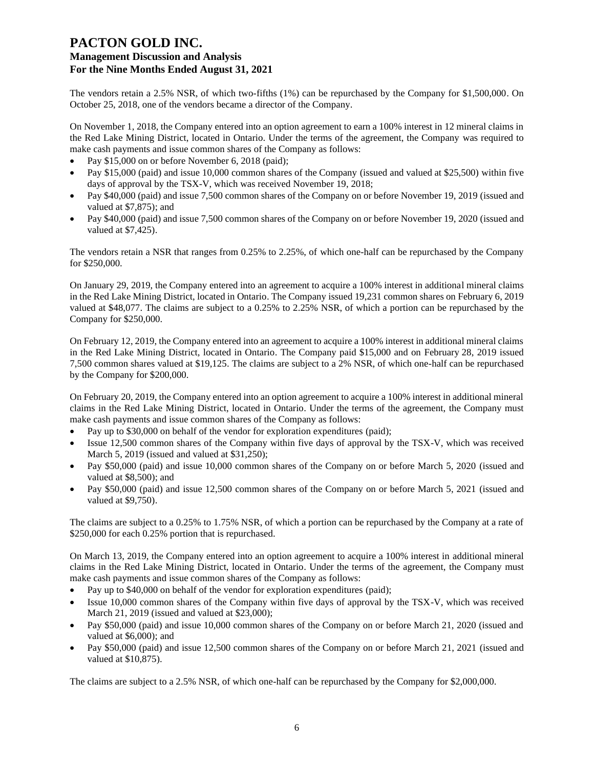The vendors retain a 2.5% NSR, of which two-fifths (1%) can be repurchased by the Company for \$1,500,000. On October 25, 2018, one of the vendors became a director of the Company.

On November 1, 2018, the Company entered into an option agreement to earn a 100% interest in 12 mineral claims in the Red Lake Mining District, located in Ontario. Under the terms of the agreement, the Company was required to make cash payments and issue common shares of the Company as follows:

- Pay \$15,000 on or before November 6, 2018 (paid);
- Pay \$15,000 (paid) and issue 10,000 common shares of the Company (issued and valued at \$25,500) within five days of approval by the TSX-V, which was received November 19, 2018;
- Pay \$40,000 (paid) and issue 7,500 common shares of the Company on or before November 19, 2019 (issued and valued at \$7,875); and
- Pay \$40,000 (paid) and issue 7,500 common shares of the Company on or before November 19, 2020 (issued and valued at \$7,425).

The vendors retain a NSR that ranges from 0.25% to 2.25%, of which one-half can be repurchased by the Company for \$250,000.

On January 29, 2019, the Company entered into an agreement to acquire a 100% interest in additional mineral claims in the Red Lake Mining District, located in Ontario. The Company issued 19,231 common shares on February 6, 2019 valued at \$48,077. The claims are subject to a 0.25% to 2.25% NSR, of which a portion can be repurchased by the Company for \$250,000.

On February 12, 2019, the Company entered into an agreement to acquire a 100% interest in additional mineral claims in the Red Lake Mining District, located in Ontario. The Company paid \$15,000 and on February 28, 2019 issued 7,500 common shares valued at \$19,125. The claims are subject to a 2% NSR, of which one-half can be repurchased by the Company for \$200,000.

On February 20, 2019, the Company entered into an option agreement to acquire a 100% interest in additional mineral claims in the Red Lake Mining District, located in Ontario. Under the terms of the agreement, the Company must make cash payments and issue common shares of the Company as follows:

- Pay up to \$30,000 on behalf of the vendor for exploration expenditures (paid);
- Issue 12,500 common shares of the Company within five days of approval by the TSX-V, which was received March 5, 2019 (issued and valued at \$31,250);
- Pay \$50,000 (paid) and issue 10,000 common shares of the Company on or before March 5, 2020 (issued and valued at \$8,500); and
- Pay \$50,000 (paid) and issue 12,500 common shares of the Company on or before March 5, 2021 (issued and valued at \$9,750).

The claims are subject to a 0.25% to 1.75% NSR, of which a portion can be repurchased by the Company at a rate of \$250,000 for each 0.25% portion that is repurchased.

On March 13, 2019, the Company entered into an option agreement to acquire a 100% interest in additional mineral claims in the Red Lake Mining District, located in Ontario. Under the terms of the agreement, the Company must make cash payments and issue common shares of the Company as follows:

- Pay up to \$40,000 on behalf of the vendor for exploration expenditures (paid);
- Issue 10,000 common shares of the Company within five days of approval by the TSX-V, which was received March 21, 2019 (issued and valued at \$23,000);
- Pay \$50,000 (paid) and issue 10,000 common shares of the Company on or before March 21, 2020 (issued and valued at \$6,000); and
- Pay \$50,000 (paid) and issue 12,500 common shares of the Company on or before March 21, 2021 (issued and valued at \$10,875).

The claims are subject to a 2.5% NSR, of which one-half can be repurchased by the Company for \$2,000,000.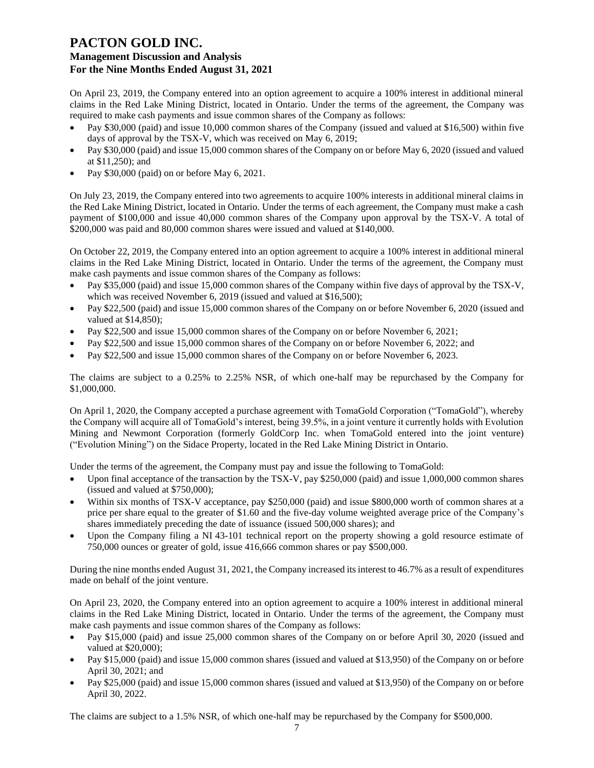On April 23, 2019, the Company entered into an option agreement to acquire a 100% interest in additional mineral claims in the Red Lake Mining District, located in Ontario. Under the terms of the agreement, the Company was required to make cash payments and issue common shares of the Company as follows:

- Pay \$30,000 (paid) and issue 10,000 common shares of the Company (issued and valued at \$16,500) within five days of approval by the TSX-V, which was received on May 6, 2019;
- Pay \$30,000 (paid) and issue 15,000 common shares of the Company on or before May 6, 2020 (issued and valued at \$11,250); and
- Pay \$30,000 (paid) on or before May 6, 2021.

On July 23, 2019, the Company entered into two agreements to acquire 100% interests in additional mineral claims in the Red Lake Mining District, located in Ontario. Under the terms of each agreement, the Company must make a cash payment of \$100,000 and issue 40,000 common shares of the Company upon approval by the TSX-V. A total of \$200,000 was paid and 80,000 common shares were issued and valued at \$140,000.

On October 22, 2019, the Company entered into an option agreement to acquire a 100% interest in additional mineral claims in the Red Lake Mining District, located in Ontario. Under the terms of the agreement, the Company must make cash payments and issue common shares of the Company as follows:

- Pay \$35,000 (paid) and issue 15,000 common shares of the Company within five days of approval by the TSX-V, which was received November 6, 2019 (issued and valued at \$16,500);
- Pay \$22,500 (paid) and issue 15,000 common shares of the Company on or before November 6, 2020 (issued and valued at \$14,850);
- Pay \$22,500 and issue 15,000 common shares of the Company on or before November 6, 2021;
- Pay \$22,500 and issue 15,000 common shares of the Company on or before November 6, 2022; and
- Pay \$22,500 and issue 15,000 common shares of the Company on or before November 6, 2023.

The claims are subject to a 0.25% to 2.25% NSR, of which one-half may be repurchased by the Company for \$1,000,000.

On April 1, 2020, the Company accepted a purchase agreement with TomaGold Corporation ("TomaGold"), whereby the Company will acquire all of TomaGold's interest, being 39.5%, in a joint venture it currently holds with Evolution Mining and Newmont Corporation (formerly GoldCorp Inc. when TomaGold entered into the joint venture) ("Evolution Mining") on the Sidace Property, located in the Red Lake Mining District in Ontario.

Under the terms of the agreement, the Company must pay and issue the following to TomaGold:

- Upon final acceptance of the transaction by the TSX-V, pay \$250,000 (paid) and issue 1,000,000 common shares (issued and valued at \$750,000);
- Within six months of TSX-V acceptance, pay \$250,000 (paid) and issue \$800,000 worth of common shares at a price per share equal to the greater of \$1.60 and the five-day volume weighted average price of the Company's shares immediately preceding the date of issuance (issued 500,000 shares); and
- Upon the Company filing a NI 43-101 technical report on the property showing a gold resource estimate of 750,000 ounces or greater of gold, issue 416,666 common shares or pay \$500,000.

During the nine months ended August 31, 2021, the Company increased its interest to 46.7% as a result of expenditures made on behalf of the joint venture.

On April 23, 2020, the Company entered into an option agreement to acquire a 100% interest in additional mineral claims in the Red Lake Mining District, located in Ontario. Under the terms of the agreement, the Company must make cash payments and issue common shares of the Company as follows:

- Pay \$15,000 (paid) and issue 25,000 common shares of the Company on or before April 30, 2020 (issued and valued at \$20,000);
- Pay \$15,000 (paid) and issue 15,000 common shares (issued and valued at \$13,950) of the Company on or before April 30, 2021; and
- Pay \$25,000 (paid) and issue 15,000 common shares (issued and valued at \$13,950) of the Company on or before April 30, 2022.

The claims are subject to a 1.5% NSR, of which one-half may be repurchased by the Company for \$500,000.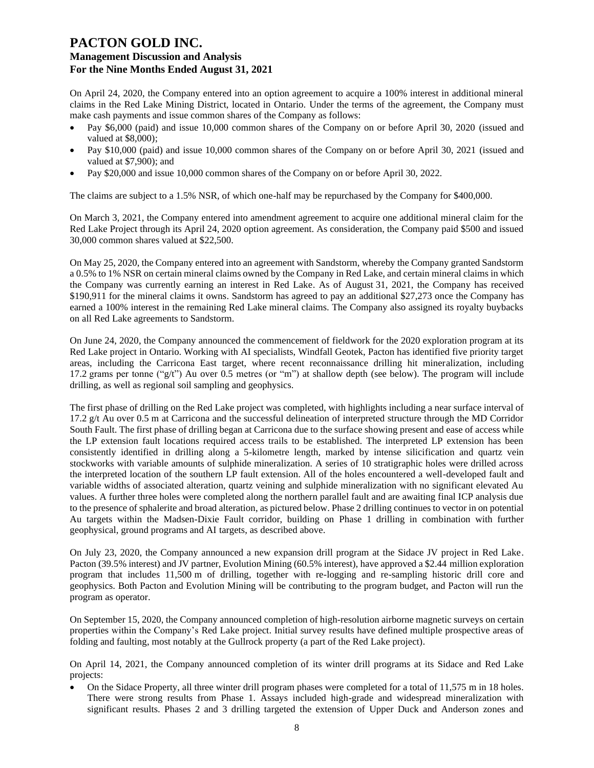On April 24, 2020, the Company entered into an option agreement to acquire a 100% interest in additional mineral claims in the Red Lake Mining District, located in Ontario. Under the terms of the agreement, the Company must make cash payments and issue common shares of the Company as follows:

- Pay \$6,000 (paid) and issue 10,000 common shares of the Company on or before April 30, 2020 (issued and valued at \$8,000);
- Pay \$10,000 (paid) and issue 10,000 common shares of the Company on or before April 30, 2021 (issued and valued at \$7,900); and
- Pay \$20,000 and issue 10,000 common shares of the Company on or before April 30, 2022.

The claims are subject to a 1.5% NSR, of which one-half may be repurchased by the Company for \$400,000.

On March 3, 2021, the Company entered into amendment agreement to acquire one additional mineral claim for the Red Lake Project through its April 24, 2020 option agreement. As consideration, the Company paid \$500 and issued 30,000 common shares valued at \$22,500.

On May 25, 2020, the Company entered into an agreement with Sandstorm, whereby the Company granted Sandstorm a 0.5% to 1% NSR on certain mineral claims owned by the Company in Red Lake, and certain mineral claims in which the Company was currently earning an interest in Red Lake. As of August 31, 2021, the Company has received \$190,911 for the mineral claims it owns. Sandstorm has agreed to pay an additional \$27,273 once the Company has earned a 100% interest in the remaining Red Lake mineral claims. The Company also assigned its royalty buybacks on all Red Lake agreements to Sandstorm.

On June 24, 2020, the Company announced the commencement of fieldwork for the 2020 exploration program at its Red Lake project in Ontario. Working with AI specialists, Windfall Geotek, Pacton has identified five priority target areas, including the Carricona East target, where recent reconnaissance drilling hit mineralization, including 17.2 grams per tonne ("g/t") Au over 0.5 metres (or "m") at shallow depth (see below). The program will include drilling, as well as regional soil sampling and geophysics.

The first phase of drilling on the Red Lake project was completed, with highlights including a near surface interval of 17.2 g/t Au over 0.5 m at Carricona and the successful delineation of interpreted structure through the MD Corridor South Fault. The first phase of drilling began at Carricona due to the surface showing present and ease of access while the LP extension fault locations required access trails to be established. The interpreted LP extension has been consistently identified in drilling along a 5-kilometre length, marked by intense silicification and quartz vein stockworks with variable amounts of sulphide mineralization. A series of 10 stratigraphic holes were drilled across the interpreted location of the southern LP fault extension. All of the holes encountered a well-developed fault and variable widths of associated alteration, quartz veining and sulphide mineralization with no significant elevated Au values. A further three holes were completed along the northern parallel fault and are awaiting final ICP analysis due to the presence of sphalerite and broad alteration, as pictured below. Phase 2 drilling continues to vector in on potential Au targets within the Madsen-Dixie Fault corridor, building on Phase 1 drilling in combination with further geophysical, ground programs and AI targets, as described above.

On July 23, 2020, the Company announced a new expansion drill program at the Sidace JV project in Red Lake. Pacton (39.5% interest) and JV partner, Evolution Mining (60.5% interest), have approved a \$2.44 million exploration program that includes 11,500 m of drilling, together with re-logging and re-sampling historic drill core and geophysics. Both Pacton and Evolution Mining will be contributing to the program budget, and Pacton will run the program as operator.

On September 15, 2020, the Company announced completion of high-resolution airborne magnetic surveys on certain properties within the Company's Red Lake project. Initial survey results have defined multiple prospective areas of folding and faulting, most notably at the Gullrock property (a part of the Red Lake project).

On April 14, 2021, the Company announced completion of its winter drill programs at its Sidace and Red Lake projects:

• On the Sidace Property, all three winter drill program phases were completed for a total of 11,575 m in 18 holes. There were strong results from Phase 1. Assays included high-grade and widespread mineralization with significant results. Phases 2 and 3 drilling targeted the extension of Upper Duck and Anderson zones and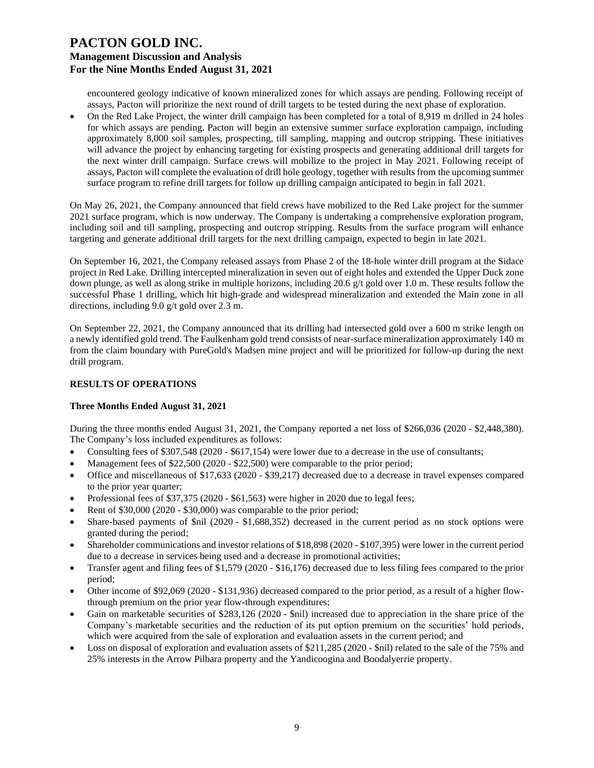encountered geology indicative of known mineralized zones for which assays are pending. Following receipt of assays, Pacton will prioritize the next round of drill targets to be tested during the next phase of exploration.

• On the Red Lake Project, the winter drill campaign has been completed for a total of 8,919 m drilled in 24 holes for which assays are pending. Pacton will begin an extensive summer surface exploration campaign, including approximately 8,000 soil samples, prospecting, till sampling, mapping and outcrop stripping. These initiatives will advance the project by enhancing targeting for existing prospects and generating additional drill targets for the next winter drill campaign. Surface crews will mobilize to the project in May 2021. Following receipt of assays, Pacton will complete the evaluation of drill hole geology, together with results from the upcoming summer surface program to refine drill targets for follow up drilling campaign anticipated to begin in fall 2021.

On May 26, 2021, the Company announced that field crews have mobilized to the Red Lake project for the summer 2021 surface program, which is now underway. The Company is undertaking a comprehensive exploration program, including soil and till sampling, prospecting and outcrop stripping. Results from the surface program will enhance targeting and generate additional drill targets for the next drilling campaign, expected to begin in late 2021.

On September 16, 2021, the Company released assays from Phase 2 of the 18-hole winter drill program at the Sidace project in Red Lake. Drilling intercepted mineralization in seven out of eight holes and extended the Upper Duck zone down plunge, as well as along strike in multiple horizons, including 20.6 g/t gold over 1.0 m. These results follow the successful Phase 1 drilling, which hit high-grade and widespread mineralization and extended the Main zone in all directions, including 9.0 g/t gold over 2.3 m.

On September 22, 2021, the Company announced that its drilling had intersected gold over a 600 m strike length on a newly identified gold trend. The Faulkenham gold trend consists of near-surface mineralization approximately 140 m from the claim boundary with PureGold's Madsen mine project and will be prioritized for follow-up during the next drill program.

## **RESULTS OF OPERATIONS**

#### **Three Months Ended August 31, 2021**

During the three months ended August 31, 2021, the Company reported a net loss of \$266,036 (2020 - \$2,448,380). The Company's loss included expenditures as follows:

- Consulting fees of \$307,548 (2020 \$617,154) were lower due to a decrease in the use of consultants;
- Management fees of \$22,500 (2020 \$22,500) were comparable to the prior period;
- Office and miscellaneous of \$17,633 (2020 \$39,217) decreased due to a decrease in travel expenses compared to the prior year quarter;
- Professional fees of \$37,375 (2020 \$61,563) were higher in 2020 due to legal fees;
- Rent of \$30,000 (2020 \$30,000) was comparable to the prior period;
- Share-based payments of \$nil (2020 \$1,688,352) decreased in the current period as no stock options were granted during the period;
- Shareholder communications and investor relations of \$18,898 (2020 \$107,395) were lower in the current period due to a decrease in services being used and a decrease in promotional activities;
- Transfer agent and filing fees of \$1,579 (2020 \$16,176) decreased due to less filing fees compared to the prior period;
- Other income of \$92,069 (2020 \$131,936) decreased compared to the prior period, as a result of a higher flowthrough premium on the prior year flow-through expenditures;
- Gain on marketable securities of \$283,126 (2020 \$nil) increased due to appreciation in the share price of the Company's marketable securities and the reduction of its put option premium on the securities' hold periods, which were acquired from the sale of exploration and evaluation assets in the current period; and
- Loss on disposal of exploration and evaluation assets of \$211,285 (2020 \$nil) related to the sale of the 75% and 25% interests in the Arrow Pilbara property and the Yandicoogina and Boodalyerrie property.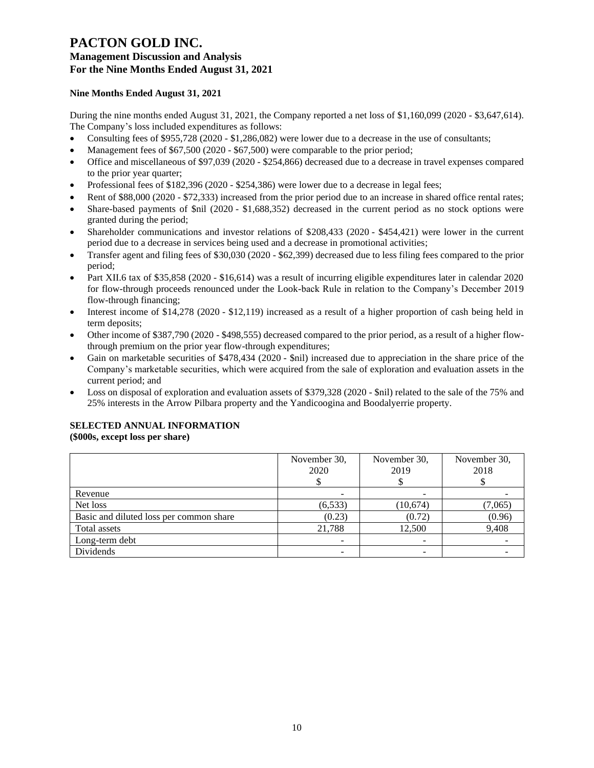## **Nine Months Ended August 31, 2021**

During the nine months ended August 31, 2021, the Company reported a net loss of \$1,160,099 (2020 - \$3,647,614). The Company's loss included expenditures as follows:

- Consulting fees of \$955,728 (2020 \$1,286,082) were lower due to a decrease in the use of consultants;
- Management fees of \$67,500 (2020 \$67,500) were comparable to the prior period;
- Office and miscellaneous of \$97,039 (2020 \$254,866) decreased due to a decrease in travel expenses compared to the prior year quarter;
- Professional fees of \$182,396 (2020 \$254,386) were lower due to a decrease in legal fees;
- Rent of \$88,000 (2020 \$72,333) increased from the prior period due to an increase in shared office rental rates;
- Share-based payments of \$nil (2020 \$1,688,352) decreased in the current period as no stock options were granted during the period;
- Shareholder communications and investor relations of \$208,433 (2020 \$454,421) were lower in the current period due to a decrease in services being used and a decrease in promotional activities;
- Transfer agent and filing fees of \$30,030 (2020 \$62,399) decreased due to less filing fees compared to the prior period;
- Part XII.6 tax of \$35,858 (2020 \$16,614) was a result of incurring eligible expenditures later in calendar 2020 for flow-through proceeds renounced under the Look-back Rule in relation to the Company's December 2019 flow-through financing;
- Interest income of \$14,278 (2020 \$12,119) increased as a result of a higher proportion of cash being held in term deposits;
- Other income of \$387,790 (2020 \$498,555) decreased compared to the prior period, as a result of a higher flowthrough premium on the prior year flow-through expenditures;
- Gain on marketable securities of \$478,434 (2020 \$nil) increased due to appreciation in the share price of the Company's marketable securities, which were acquired from the sale of exploration and evaluation assets in the current period; and
- Loss on disposal of exploration and evaluation assets of \$379,328 (2020 \$nil) related to the sale of the 75% and 25% interests in the Arrow Pilbara property and the Yandicoogina and Boodalyerrie property.

#### **SELECTED ANNUAL INFORMATION (\$000s, except loss per share)**

|                                         | November 30,<br>2020 | November 30,<br>2019 | November 30,<br>2018 |
|-----------------------------------------|----------------------|----------------------|----------------------|
| Revenue                                 |                      |                      |                      |
| Net loss                                | (6, 533)             | (10,674)             | (7,065)              |
| Basic and diluted loss per common share | (0.23)               | (0.72)               | (0.96)               |
| Total assets                            | 21,788               | 12,500               | 9,408                |
| Long-term debt                          |                      |                      |                      |
| Dividends                               |                      |                      |                      |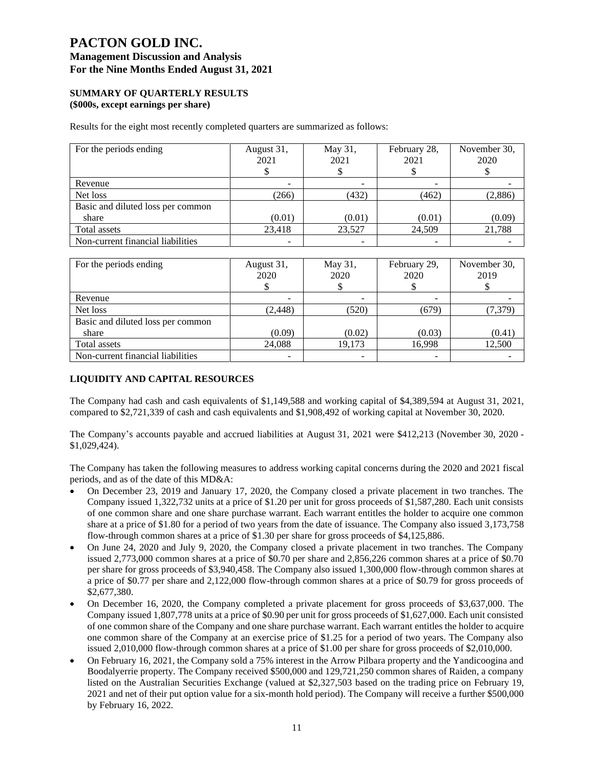# **PACTON GOLD INC. Management Discussion and Analysis**

## **For the Nine Months Ended August 31, 2021**

#### **SUMMARY OF QUARTERLY RESULTS (\$000s, except earnings per share)**

Results for the eight most recently completed quarters are summarized as follows:

| For the periods ending            | August 31,<br>2021 | May 31,<br>2021 | February 28,<br>2021 | November 30,<br>2020 |
|-----------------------------------|--------------------|-----------------|----------------------|----------------------|
| Revenue                           |                    |                 |                      |                      |
| Net loss                          | (266)              | (432)           | (462)                | (2,886)              |
| Basic and diluted loss per common |                    |                 |                      |                      |
| share                             | (0.01)             | (0.01)          | (0.01)               | (0.09)               |
| Total assets                      | 23,418             | 23,527          | 24,509               | 21,788               |
| Non-current financial liabilities |                    | ۰               |                      |                      |

| For the periods ending            | August 31,<br>2020 | May 31,<br>2020 | February 29,<br>2020 | November 30,<br>2019 |
|-----------------------------------|--------------------|-----------------|----------------------|----------------------|
| Revenue                           |                    |                 |                      |                      |
| Net loss                          | (2, 448)           | (520)           | (679)                | (7, 379)             |
| Basic and diluted loss per common |                    |                 |                      |                      |
| share                             | (0.09)             | (0.02)          | (0.03)               | (0.41)               |
| Total assets                      | 24,088             | 19,173          | 16,998               | 12,500               |
| Non-current financial liabilities |                    |                 |                      |                      |

## **LIQUIDITY AND CAPITAL RESOURCES**

The Company had cash and cash equivalents of \$1,149,588 and working capital of \$4,389,594 at August 31, 2021, compared to \$2,721,339 of cash and cash equivalents and \$1,908,492 of working capital at November 30, 2020.

The Company's accounts payable and accrued liabilities at August 31, 2021 were \$412,213 (November 30, 2020 - \$1,029,424).

The Company has taken the following measures to address working capital concerns during the 2020 and 2021 fiscal periods, and as of the date of this MD&A:

- On December 23, 2019 and January 17, 2020, the Company closed a private placement in two tranches. The Company issued 1,322,732 units at a price of \$1.20 per unit for gross proceeds of \$1,587,280. Each unit consists of one common share and one share purchase warrant. Each warrant entitles the holder to acquire one common share at a price of \$1.80 for a period of two years from the date of issuance. The Company also issued 3,173,758 flow-through common shares at a price of \$1.30 per share for gross proceeds of \$4,125,886.
- On June 24, 2020 and July 9, 2020, the Company closed a private placement in two tranches. The Company issued 2,773,000 common shares at a price of \$0.70 per share and 2,856,226 common shares at a price of \$0.70 per share for gross proceeds of \$3,940,458. The Company also issued 1,300,000 flow-through common shares at a price of \$0.77 per share and 2,122,000 flow-through common shares at a price of \$0.79 for gross proceeds of \$2,677,380.
- On December 16, 2020, the Company completed a private placement for gross proceeds of \$3,637,000. The Company issued 1,807,778 units at a price of \$0.90 per unit for gross proceeds of \$1,627,000. Each unit consisted of one common share of the Company and one share purchase warrant. Each warrant entitles the holder to acquire one common share of the Company at an exercise price of \$1.25 for a period of two years. The Company also issued 2,010,000 flow-through common shares at a price of \$1.00 per share for gross proceeds of \$2,010,000.
- On February 16, 2021, the Company sold a 75% interest in the Arrow Pilbara property and the Yandicoogina and Boodalyerrie property. The Company received \$500,000 and 129,721,250 common shares of Raiden, a company listed on the Australian Securities Exchange (valued at \$2,327,503 based on the trading price on February 19, 2021 and net of their put option value for a six-month hold period). The Company will receive a further \$500,000 by February 16, 2022.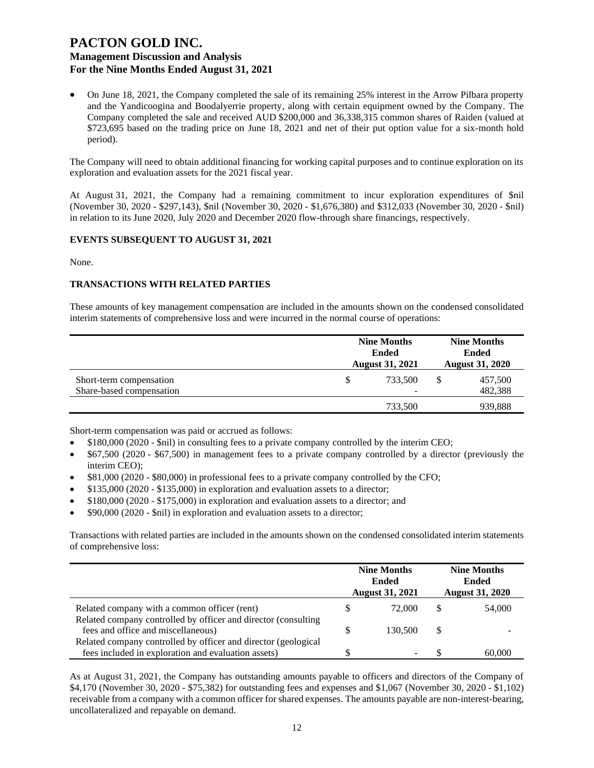• On June 18, 2021, the Company completed the sale of its remaining 25% interest in the Arrow Pilbara property and the Yandicoogina and Boodalyerrie property, along with certain equipment owned by the Company. The Company completed the sale and received AUD \$200,000 and 36,338,315 common shares of Raiden (valued at \$723,695 based on the trading price on June 18, 2021 and net of their put option value for a six-month hold period).

The Company will need to obtain additional financing for working capital purposes and to continue exploration on its exploration and evaluation assets for the 2021 fiscal year.

At August 31, 2021, the Company had a remaining commitment to incur exploration expenditures of \$nil (November 30, 2020 - \$297,143), \$nil (November 30, 2020 - \$1,676,380) and \$312,033 (November 30, 2020 - \$nil) in relation to its June 2020, July 2020 and December 2020 flow-through share financings, respectively.

#### **EVENTS SUBSEQUENT TO AUGUST 31, 2021**

None.

#### **TRANSACTIONS WITH RELATED PARTIES**

These amounts of key management compensation are included in the amounts shown on the condensed consolidated interim statements of comprehensive loss and were incurred in the normal course of operations:

|                                                     | <b>Nine Months</b><br><b>Ended</b><br><b>August 31, 2021</b> |              |  | <b>Nine Months</b><br><b>Ended</b><br><b>August 31, 2020</b> |  |  |
|-----------------------------------------------------|--------------------------------------------------------------|--------------|--|--------------------------------------------------------------|--|--|
| Short-term compensation<br>Share-based compensation | S                                                            | 733.500<br>- |  | 457,500<br>482,388                                           |  |  |
|                                                     |                                                              | 733,500      |  | 939,888                                                      |  |  |

Short-term compensation was paid or accrued as follows:

- \$180,000 (2020 \$nil) in consulting fees to a private company controlled by the interim CEO;
- \$67,500 (2020 \$67,500) in management fees to a private company controlled by a director (previously the interim CEO);
- \$81,000 (2020 \$80,000) in professional fees to a private company controlled by the CFO;
- \$135,000 (2020 \$135,000) in exploration and evaluation assets to a director;
- \$180,000 (2020 \$175,000) in exploration and evaluation assets to a director; and
- \$90,000 (2020 \$nil) in exploration and evaluation assets to a director;

Transactions with related parties are included in the amounts shown on the condensed consolidated interim statements of comprehensive loss:

|                                                                |   | <b>Nine Months</b><br><b>Nine Months</b><br><b>Ended</b><br><b>Ended</b><br><b>August 31, 2020</b><br><b>August 31, 2021</b> |     |        |
|----------------------------------------------------------------|---|------------------------------------------------------------------------------------------------------------------------------|-----|--------|
| Related company with a common officer (rent)                   |   | 72,000                                                                                                                       |     | 54,000 |
| Related company controlled by officer and director (consulting |   |                                                                                                                              |     |        |
| fees and office and miscellaneous)                             | S | 130,500                                                                                                                      | \$. |        |
| Related company controlled by officer and director (geological |   |                                                                                                                              |     |        |
| fees included in exploration and evaluation assets)            |   |                                                                                                                              |     | 60,000 |

As at August 31, 2021, the Company has outstanding amounts payable to officers and directors of the Company of \$4,170 (November 30, 2020 - \$75,382) for outstanding fees and expenses and \$1,067 (November 30, 2020 - \$1,102) receivable from a company with a common officer for shared expenses. The amounts payable are non-interest-bearing, uncollateralized and repayable on demand.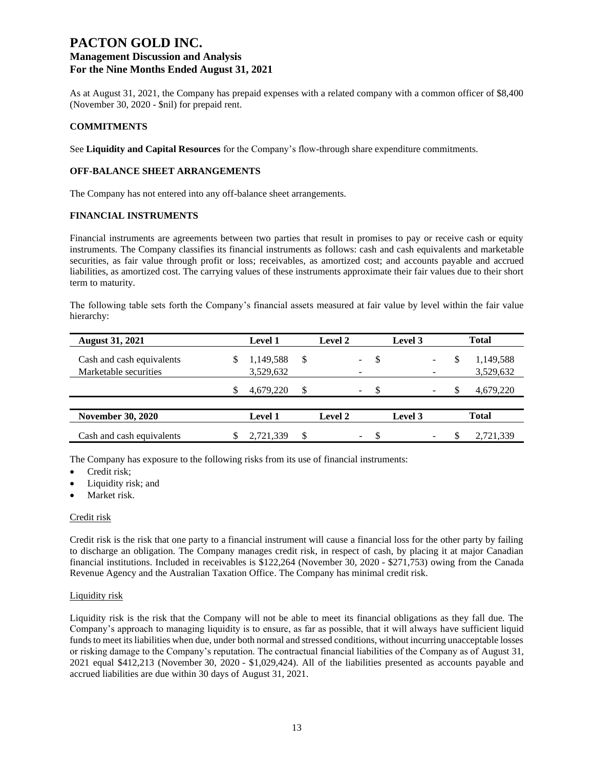# **PACTON GOLD INC. Management Discussion and Analysis**

# **For the Nine Months Ended August 31, 2021**

As at August 31, 2021, the Company has prepaid expenses with a related company with a common officer of \$8,400 (November 30, 2020 - \$nil) for prepaid rent.

## **COMMITMENTS**

See **Liquidity and Capital Resources** for the Company's flow-through share expenditure commitments.

## **OFF-BALANCE SHEET ARRANGEMENTS**

The Company has not entered into any off-balance sheet arrangements.

## **FINANCIAL INSTRUMENTS**

Financial instruments are agreements between two parties that result in promises to pay or receive cash or equity instruments. The Company classifies its financial instruments as follows: cash and cash equivalents and marketable securities, as fair value through profit or loss; receivables, as amortized cost; and accounts payable and accrued liabilities, as amortized cost. The carrying values of these instruments approximate their fair values due to their short term to maturity.

The following table sets forth the Company's financial assets measured at fair value by level within the fair value hierarchy:

| <b>August 31, 2021</b>    |   | <b>Level 1</b> |     | Level 2        |          | Level 3 |   | <b>Total</b> |
|---------------------------|---|----------------|-----|----------------|----------|---------|---|--------------|
| Cash and cash equivalents | S | 1,149,588      | -\$ |                | \$       |         | S | 1,149,588    |
| Marketable securities     |   | 3,529,632      |     |                |          |         |   | 3,529,632    |
|                           |   | 4,679,220      | \$  |                | \$<br>Ξ. |         |   | 4,679,220    |
|                           |   |                |     |                |          |         |   |              |
| <b>November 30, 2020</b>  |   | <b>Level 1</b> |     | <b>Level 2</b> |          | Level 3 |   | Total        |
| Cash and cash equivalents |   | 2,721,339      | \$  |                |          |         |   | 2,721,339    |

The Company has exposure to the following risks from its use of financial instruments:

- Credit risk;
- Liquidity risk; and
- Market risk.

## Credit risk

Credit risk is the risk that one party to a financial instrument will cause a financial loss for the other party by failing to discharge an obligation. The Company manages credit risk, in respect of cash, by placing it at major Canadian financial institutions. Included in receivables is \$122,264 (November 30, 2020 - \$271,753) owing from the Canada Revenue Agency and the Australian Taxation Office. The Company has minimal credit risk.

#### Liquidity risk

Liquidity risk is the risk that the Company will not be able to meet its financial obligations as they fall due. The Company's approach to managing liquidity is to ensure, as far as possible, that it will always have sufficient liquid funds to meet its liabilities when due, under both normal and stressed conditions, without incurring unacceptable losses or risking damage to the Company's reputation. The contractual financial liabilities of the Company as of August 31, 2021 equal \$412,213 (November 30, 2020 - \$1,029,424). All of the liabilities presented as accounts payable and accrued liabilities are due within 30 days of August 31, 2021.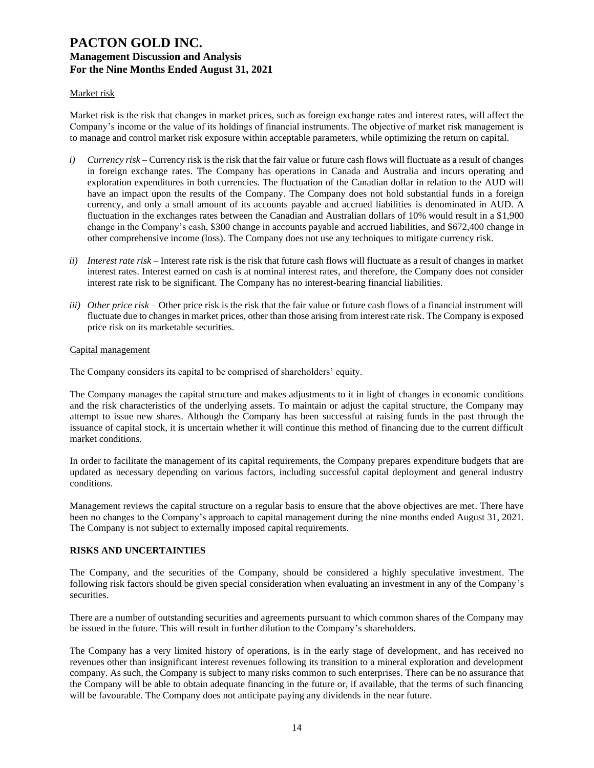#### Market risk

Market risk is the risk that changes in market prices, such as foreign exchange rates and interest rates, will affect the Company's income or the value of its holdings of financial instruments. The objective of market risk management is to manage and control market risk exposure within acceptable parameters, while optimizing the return on capital.

- *i*) *Currency risk* Currency risk is the risk that the fair value or future cash flows will fluctuate as a result of changes in foreign exchange rates. The Company has operations in Canada and Australia and incurs operating and exploration expenditures in both currencies. The fluctuation of the Canadian dollar in relation to the AUD will have an impact upon the results of the Company. The Company does not hold substantial funds in a foreign currency, and only a small amount of its accounts payable and accrued liabilities is denominated in AUD. A fluctuation in the exchanges rates between the Canadian and Australian dollars of 10% would result in a \$1,900 change in the Company's cash, \$300 change in accounts payable and accrued liabilities, and \$672,400 change in other comprehensive income (loss). The Company does not use any techniques to mitigate currency risk.
- *ii) Interest rate risk –* Interest rate risk is the risk that future cash flows will fluctuate as a result of changes in market interest rates. Interest earned on cash is at nominal interest rates, and therefore, the Company does not consider interest rate risk to be significant. The Company has no interest-bearing financial liabilities.
- *iii) Other price risk –* Other price risk is the risk that the fair value or future cash flows of a financial instrument will fluctuate due to changes in market prices, other than those arising from interest rate risk. The Company is exposed price risk on its marketable securities.

#### Capital management

The Company considers its capital to be comprised of shareholders' equity.

The Company manages the capital structure and makes adjustments to it in light of changes in economic conditions and the risk characteristics of the underlying assets. To maintain or adjust the capital structure, the Company may attempt to issue new shares. Although the Company has been successful at raising funds in the past through the issuance of capital stock, it is uncertain whether it will continue this method of financing due to the current difficult market conditions.

In order to facilitate the management of its capital requirements, the Company prepares expenditure budgets that are updated as necessary depending on various factors, including successful capital deployment and general industry conditions.

Management reviews the capital structure on a regular basis to ensure that the above objectives are met. There have been no changes to the Company's approach to capital management during the nine months ended August 31, 2021. The Company is not subject to externally imposed capital requirements.

#### **RISKS AND UNCERTAINTIES**

The Company, and the securities of the Company, should be considered a highly speculative investment. The following risk factors should be given special consideration when evaluating an investment in any of the Company's securities.

There are a number of outstanding securities and agreements pursuant to which common shares of the Company may be issued in the future. This will result in further dilution to the Company's shareholders.

The Company has a very limited history of operations, is in the early stage of development, and has received no revenues other than insignificant interest revenues following its transition to a mineral exploration and development company. As such, the Company is subject to many risks common to such enterprises. There can be no assurance that the Company will be able to obtain adequate financing in the future or, if available, that the terms of such financing will be favourable. The Company does not anticipate paying any dividends in the near future.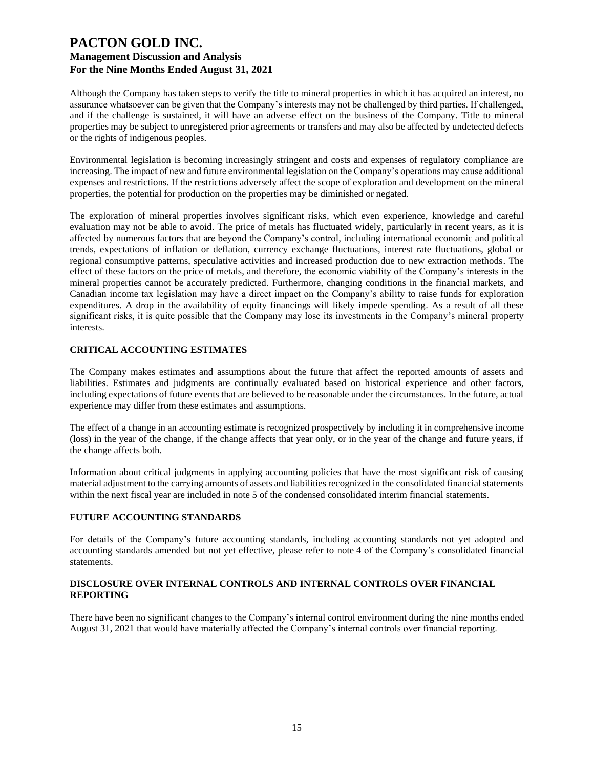Although the Company has taken steps to verify the title to mineral properties in which it has acquired an interest, no assurance whatsoever can be given that the Company's interests may not be challenged by third parties. If challenged, and if the challenge is sustained, it will have an adverse effect on the business of the Company. Title to mineral properties may be subject to unregistered prior agreements or transfers and may also be affected by undetected defects or the rights of indigenous peoples.

Environmental legislation is becoming increasingly stringent and costs and expenses of regulatory compliance are increasing. The impact of new and future environmental legislation on the Company's operations may cause additional expenses and restrictions. If the restrictions adversely affect the scope of exploration and development on the mineral properties, the potential for production on the properties may be diminished or negated.

The exploration of mineral properties involves significant risks, which even experience, knowledge and careful evaluation may not be able to avoid. The price of metals has fluctuated widely, particularly in recent years, as it is affected by numerous factors that are beyond the Company's control, including international economic and political trends, expectations of inflation or deflation, currency exchange fluctuations, interest rate fluctuations, global or regional consumptive patterns, speculative activities and increased production due to new extraction methods. The effect of these factors on the price of metals, and therefore, the economic viability of the Company's interests in the mineral properties cannot be accurately predicted. Furthermore, changing conditions in the financial markets, and Canadian income tax legislation may have a direct impact on the Company's ability to raise funds for exploration expenditures. A drop in the availability of equity financings will likely impede spending. As a result of all these significant risks, it is quite possible that the Company may lose its investments in the Company's mineral property interests.

## **CRITICAL ACCOUNTING ESTIMATES**

The Company makes estimates and assumptions about the future that affect the reported amounts of assets and liabilities. Estimates and judgments are continually evaluated based on historical experience and other factors, including expectations of future events that are believed to be reasonable under the circumstances. In the future, actual experience may differ from these estimates and assumptions.

The effect of a change in an accounting estimate is recognized prospectively by including it in comprehensive income (loss) in the year of the change, if the change affects that year only, or in the year of the change and future years, if the change affects both.

Information about critical judgments in applying accounting policies that have the most significant risk of causing material adjustment to the carrying amounts of assets and liabilities recognized in the consolidated financial statements within the next fiscal year are included in note 5 of the condensed consolidated interim financial statements.

#### **FUTURE ACCOUNTING STANDARDS**

For details of the Company's future accounting standards, including accounting standards not yet adopted and accounting standards amended but not yet effective, please refer to note 4 of the Company's consolidated financial statements.

#### **DISCLOSURE OVER INTERNAL CONTROLS AND INTERNAL CONTROLS OVER FINANCIAL REPORTING**

There have been no significant changes to the Company's internal control environment during the nine months ended August 31, 2021 that would have materially affected the Company's internal controls over financial reporting.